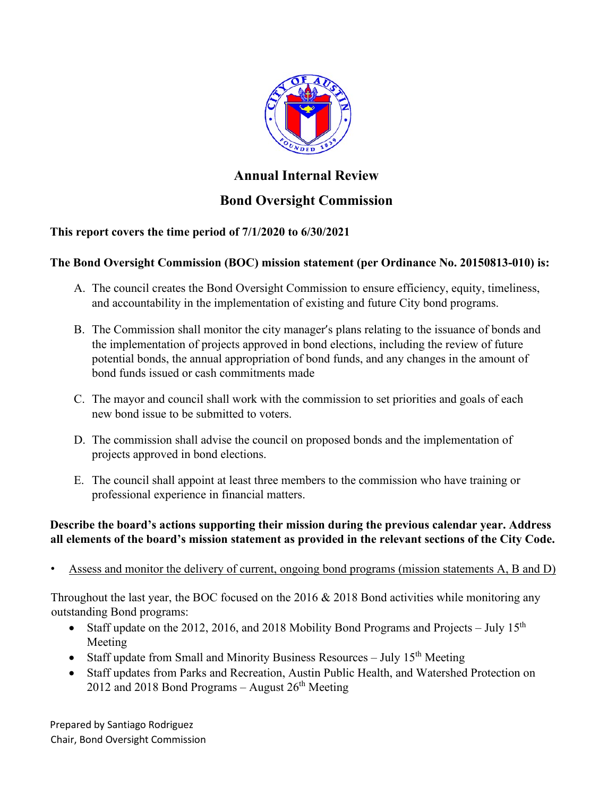

# **Annual Internal Review**

# **Bond Oversight Commission**

# **This report covers the time period of 7/1/2020 to 6/30/2021**

## **The Bond Oversight Commission (BOC) mission statement (per Ordinance No. 20150813-010) is:**

- A. The council creates the Bond Oversight Commission to ensure efficiency, equity, timeliness, and accountability in the implementation of existing and future City bond programs.
- B. The Commission shall monitor the city manager's plans relating to the issuance of bonds and the implementation of projects approved in bond elections, including the review of future potential bonds, the annual appropriation of bond funds, and any changes in the amount of bond funds issued or cash commitments made
- C. The mayor and council shall work with the commission to set priorities and goals of each new bond issue to be submitted to voters.
- D. The commission shall advise the council on proposed bonds and the implementation of projects approved in bond elections.
- E. The council shall appoint at least three members to the commission who have training or professional experience in financial matters.

### **Describe the board's actions supporting their mission during the previous calendar year. Address all elements of the board's mission statement as provided in the relevant sections of the City Code.**

• Assess and monitor the delivery of current, ongoing bond programs (mission statements A, B and D)

Throughout the last year, the BOC focused on the 2016 & 2018 Bond activities while monitoring any outstanding Bond programs:

- Staff update on the 2012, 2016, and 2018 Mobility Bond Programs and Projects July  $15<sup>th</sup>$ Meeting
- Staff update from Small and Minority Business Resources July  $15<sup>th</sup>$  Meeting
- Staff updates from Parks and Recreation, Austin Public Health, and Watershed Protection on 2012 and 2018 Bond Programs – August  $26<sup>th</sup>$  Meeting

Prepared by Santiago Rodriguez Chair, Bond Oversight Commission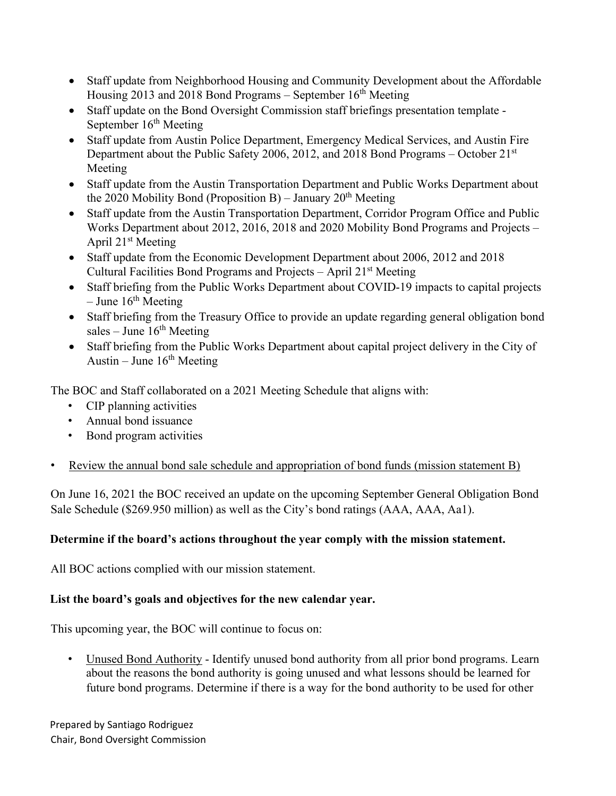- Staff update from Neighborhood Housing and Community Development about the Affordable Housing 2013 and 2018 Bond Programs – September  $16<sup>th</sup>$  Meeting
- Staff update on the Bond Oversight Commission staff briefings presentation template September  $16<sup>th</sup>$  Meeting
- Staff update from Austin Police Department, Emergency Medical Services, and Austin Fire Department about the Public Safety 2006, 2012, and 2018 Bond Programs – October  $21^{st}$ Meeting
- Staff update from the Austin Transportation Department and Public Works Department about the 2020 Mobility Bond (Proposition B) – January  $20<sup>th</sup>$  Meeting
- Staff update from the Austin Transportation Department, Corridor Program Office and Public Works Department about 2012, 2016, 2018 and 2020 Mobility Bond Programs and Projects – April  $21<sup>st</sup>$  Meeting
- Staff update from the Economic Development Department about 2006, 2012 and 2018 Cultural Facilities Bond Programs and Projects – April  $21<sup>st</sup>$  Meeting
- Staff briefing from the Public Works Department about COVID-19 impacts to capital projects – June  $16^{th}$  Meeting
- Staff briefing from the Treasury Office to provide an update regarding general obligation bond sales – June  $16<sup>th</sup>$  Meeting
- Staff briefing from the Public Works Department about capital project delivery in the City of Austin – June  $16^{th}$  Meeting

The BOC and Staff collaborated on a 2021 Meeting Schedule that aligns with:

- CIP planning activities
- Annual bond issuance
- Bond program activities
- Review the annual bond sale schedule and appropriation of bond funds (mission statement B)

On June 16, 2021 the BOC received an update on the upcoming September General Obligation Bond Sale Schedule (\$269.950 million) as well as the City's bond ratings (AAA, AAA, Aa1).

### **Determine if the board's actions throughout the year comply with the mission statement.**

All BOC actions complied with our mission statement.

### **List the board's goals and objectives for the new calendar year.**

This upcoming year, the BOC will continue to focus on:

• Unused Bond Authority - Identify unused bond authority from all prior bond programs. Learn about the reasons the bond authority is going unused and what lessons should be learned for future bond programs. Determine if there is a way for the bond authority to be used for other

Prepared by Santiago Rodriguez Chair, Bond Oversight Commission